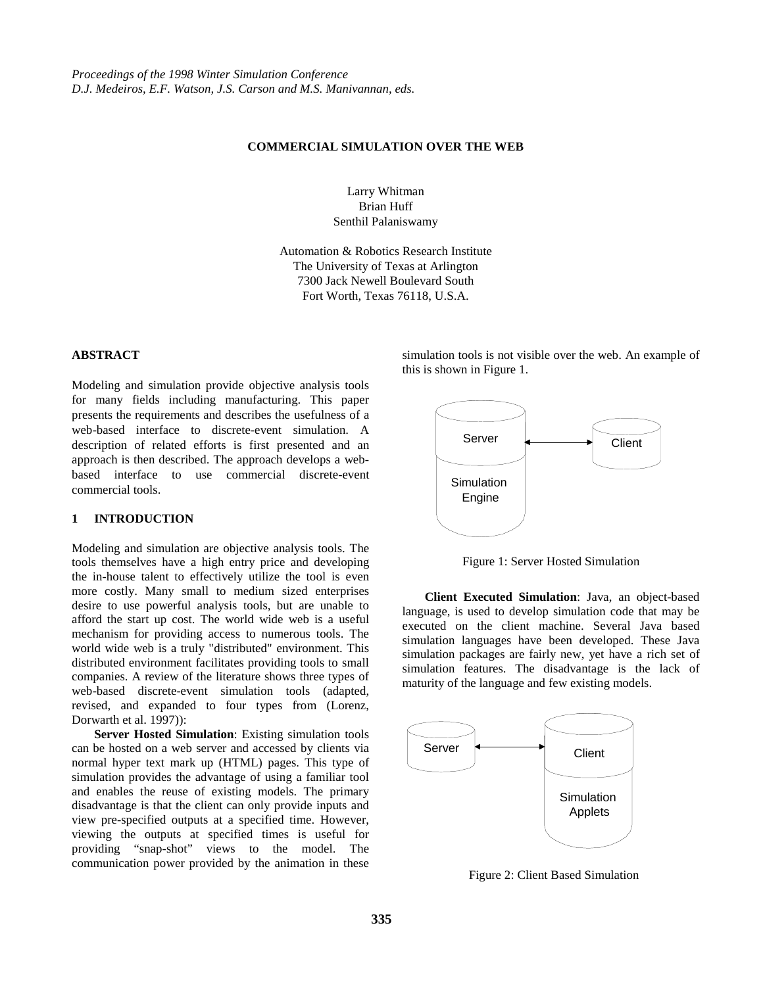# **COMMERCIAL SIMULATION OVER THE WEB**

Larry Whitman Brian Huff Senthil Palaniswamy

Automation & Robotics Research Institute The University of Texas at Arlington 7300 Jack Newell Boulevard South Fort Worth, Texas 76118, U.S.A.

#### **ABSTRACT**

Modeling and simulation provide objective analysis tools for many fields including manufacturing. This paper presents the requirements and describes the usefulness of a web-based interface to discrete-event simulation. A description of related efforts is first presented and an approach is then described. The approach develops a webbased interface to use commercial discrete-event commercial tools.

#### **1 INTRODUCTION**

Modeling and simulation are objective analysis tools. The tools themselves have a high entry price and developing the in-house talent to effectively utilize the tool is even more costly. Many small to medium sized enterprises desire to use powerful analysis tools, but are unable to afford the start up cost. The world wide web is a useful mechanism for providing access to numerous tools. The world wide web is a truly "distributed" environment. This distributed environment facilitates providing tools to small companies. A review of the literature shows three types of web-based discrete-event simulation tools (adapted, revised, and expanded to four types from (Lorenz, Dorwarth et al. 1997)):

**Server Hosted Simulation**: Existing simulation tools can be hosted on a web server and accessed by clients via normal hyper text mark up (HTML) pages. This type of simulation provides the advantage of using a familiar tool and enables the reuse of existing models. The primary disadvantage is that the client can only provide inputs and view pre-specified outputs at a specified time. However, viewing the outputs at specified times is useful for providing "snap-shot" views to the model. The communication power provided by the animation in these

simulation tools is not visible over the web. An example of this is shown in Figure 1.



Figure 1: Server Hosted Simulation

**Client Executed Simulation**: Java, an object-based language, is used to develop simulation code that may be executed on the client machine. Several Java based simulation languages have been developed. These Java simulation packages are fairly new, yet have a rich set of simulation features. The disadvantage is the lack of maturity of the language and few existing models.



Figure 2: Client Based Simulation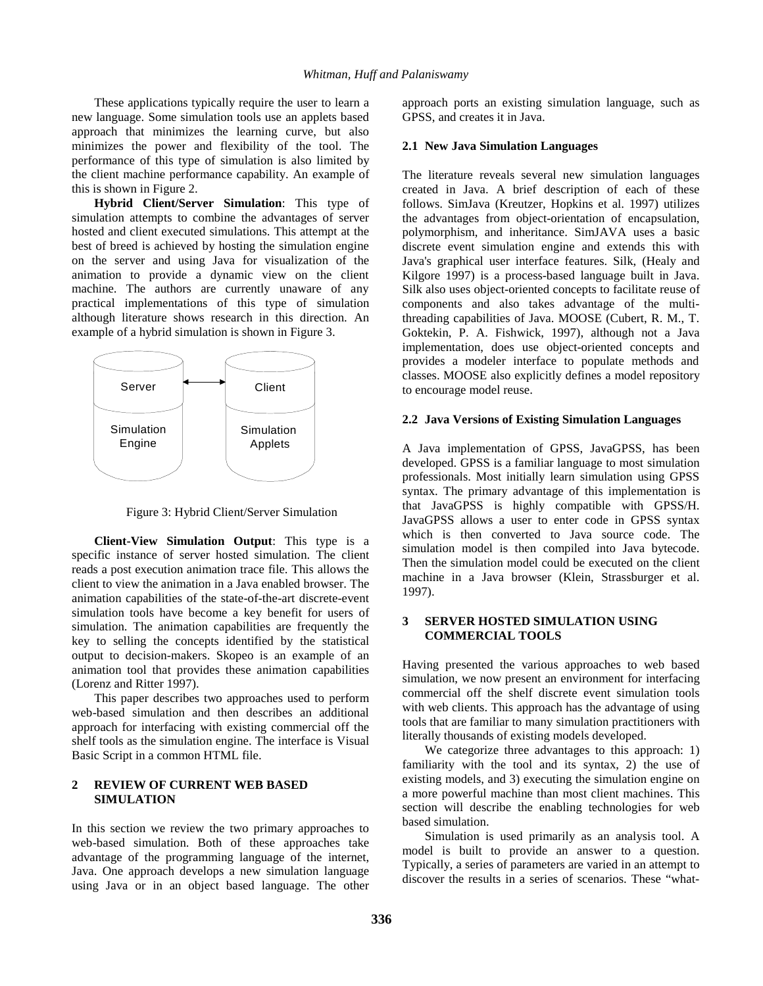These applications typically require the user to learn a new language. Some simulation tools use an applets based approach that minimizes the learning curve, but also minimizes the power and flexibility of the tool. The performance of this type of simulation is also limited by the client machine performance capability. An example of this is shown in Figure 2.

**Hybrid Client/Server Simulation**: This type of simulation attempts to combine the advantages of server hosted and client executed simulations. This attempt at the best of breed is achieved by hosting the simulation engine on the server and using Java for visualization of the animation to provide a dynamic view on the client machine. The authors are currently unaware of any practical implementations of this type of simulation although literature shows research in this direction. An example of a hybrid simulation is shown in Figure 3.



Figure 3: Hybrid Client/Server Simulation

**Client-View Simulation Output**: This type is a specific instance of server hosted simulation. The client reads a post execution animation trace file. This allows the client to view the animation in a Java enabled browser. The animation capabilities of the state-of-the-art discrete-event simulation tools have become a key benefit for users of simulation. The animation capabilities are frequently the key to selling the concepts identified by the statistical output to decision-makers. Skopeo is an example of an animation tool that provides these animation capabilities (Lorenz and Ritter 1997).

This paper describes two approaches used to perform web-based simulation and then describes an additional approach for interfacing with existing commercial off the shelf tools as the simulation engine. The interface is Visual Basic Script in a common HTML file.

# **2 REVIEW OF CURRENT WEB BASED SIMULATION**

In this section we review the two primary approaches to web-based simulation. Both of these approaches take advantage of the programming language of the internet, Java. One approach develops a new simulation language using Java or in an object based language. The other

approach ports an existing simulation language, such as GPSS, and creates it in Java.

## **2.1 New Java Simulation Languages**

The literature reveals several new simulation languages created in Java. A brief description of each of these follows. SimJava (Kreutzer, Hopkins et al. 1997) utilizes the advantages from object-orientation of encapsulation, polymorphism, and inheritance. SimJAVA uses a basic discrete event simulation engine and extends this with Java's graphical user interface features. Silk, (Healy and Kilgore 1997) is a process-based language built in Java. Silk also uses object-oriented concepts to facilitate reuse of components and also takes advantage of the multithreading capabilities of Java. MOOSE (Cubert, R. M., T. Goktekin, P. A. Fishwick, 1997), although not a Java implementation, does use object-oriented concepts and provides a modeler interface to populate methods and classes. MOOSE also explicitly defines a model repository to encourage model reuse.

# **2.2 Java Versions of Existing Simulation Languages**

A Java implementation of GPSS, JavaGPSS, has been developed. GPSS is a familiar language to most simulation professionals. Most initially learn simulation using GPSS syntax. The primary advantage of this implementation is that JavaGPSS is highly compatible with GPSS/H. JavaGPSS allows a user to enter code in GPSS syntax which is then converted to Java source code. The simulation model is then compiled into Java bytecode. Then the simulation model could be executed on the client machine in a Java browser (Klein, Strassburger et al. 1997).

# **3 SERVER HOSTED SIMULATION USING COMMERCIAL TOOLS**

Having presented the various approaches to web based simulation, we now present an environment for interfacing commercial off the shelf discrete event simulation tools with web clients. This approach has the advantage of using tools that are familiar to many simulation practitioners with literally thousands of existing models developed.

We categorize three advantages to this approach: 1) familiarity with the tool and its syntax, 2) the use of existing models, and 3) executing the simulation engine on a more powerful machine than most client machines. This section will describe the enabling technologies for web based simulation.

Simulation is used primarily as an analysis tool. A model is built to provide an answer to a question. Typically, a series of parameters are varied in an attempt to discover the results in a series of scenarios. These "what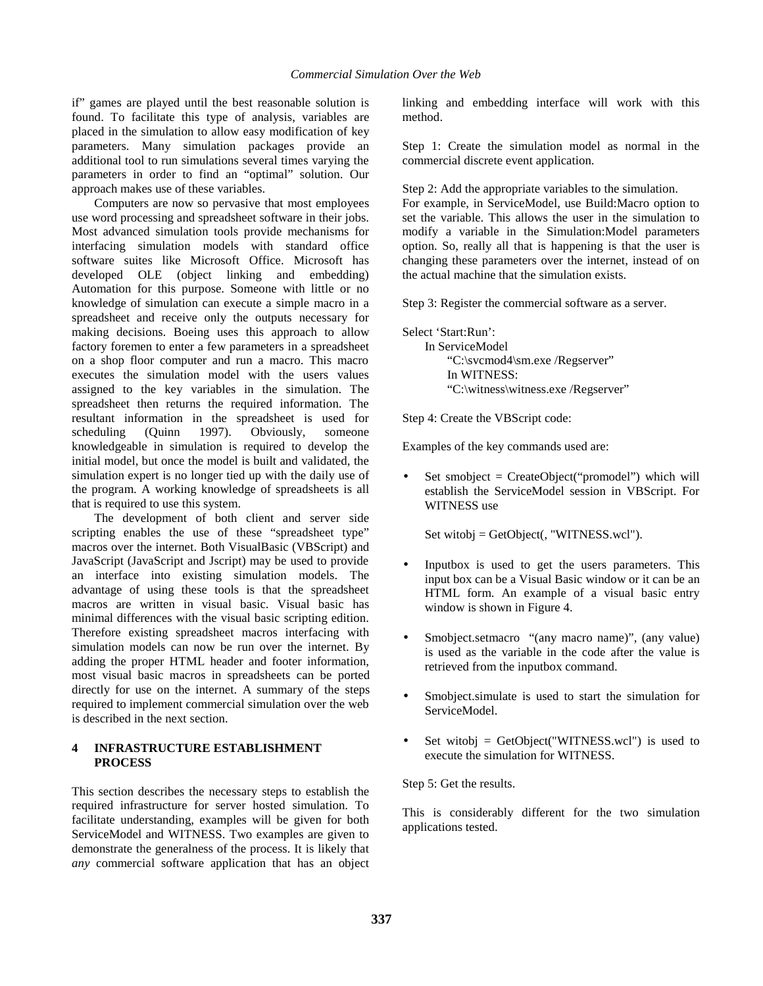if" games are played until the best reasonable solution is found. To facilitate this type of analysis, variables are placed in the simulation to allow easy modification of key parameters. Many simulation packages provide an additional tool to run simulations several times varying the parameters in order to find an "optimal" solution. Our approach makes use of these variables.

Computers are now so pervasive that most employees use word processing and spreadsheet software in their jobs. Most advanced simulation tools provide mechanisms for interfacing simulation models with standard office software suites like Microsoft Office. Microsoft has developed OLE (object linking and embedding) Automation for this purpose. Someone with little or no knowledge of simulation can execute a simple macro in a spreadsheet and receive only the outputs necessary for making decisions. Boeing uses this approach to allow factory foremen to enter a few parameters in a spreadsheet on a shop floor computer and run a macro. This macro executes the simulation model with the users values assigned to the key variables in the simulation. The spreadsheet then returns the required information. The resultant information in the spreadsheet is used for scheduling (Quinn 1997). Obviously, someone knowledgeable in simulation is required to develop the initial model, but once the model is built and validated, the simulation expert is no longer tied up with the daily use of the program. A working knowledge of spreadsheets is all that is required to use this system.

The development of both client and server side scripting enables the use of these "spreadsheet type" macros over the internet. Both VisualBasic (VBScript) and JavaScript (JavaScript and Jscript) may be used to provide an interface into existing simulation models. The advantage of using these tools is that the spreadsheet macros are written in visual basic. Visual basic has minimal differences with the visual basic scripting edition. Therefore existing spreadsheet macros interfacing with simulation models can now be run over the internet. By adding the proper HTML header and footer information, most visual basic macros in spreadsheets can be ported directly for use on the internet. A summary of the steps required to implement commercial simulation over the web is described in the next section.

# **4 INFRASTRUCTURE ESTABLISHMENT PROCESS**

This section describes the necessary steps to establish the required infrastructure for server hosted simulation. To facilitate understanding, examples will be given for both ServiceModel and WITNESS. Two examples are given to demonstrate the generalness of the process. It is likely that *any* commercial software application that has an object

linking and embedding interface will work with this method.

Step 1: Create the simulation model as normal in the commercial discrete event application.

Step 2: Add the appropriate variables to the simulation.

For example, in ServiceModel, use Build:Macro option to set the variable. This allows the user in the simulation to modify a variable in the Simulation:Model parameters option. So, really all that is happening is that the user is changing these parameters over the internet, instead of on the actual machine that the simulation exists.

Step 3: Register the commercial software as a server.

Select 'Start:Run':

In ServiceModel "C:\svcmod4\sm.exe /Regserver" In WITNESS: "C:\witness\witness.exe /Regserver"

Step 4: Create the VBScript code:

Examples of the key commands used are:

Set smobject =  $CreateObject("promodel")$  which will establish the ServiceModel session in VBScript. For WITNESS use

Set witobj = GetObject(, "WITNESS.wcl").

- Inputbox is used to get the users parameters. This input box can be a Visual Basic window or it can be an HTML form. An example of a visual basic entry window is shown in Figure 4.
- Smobject.setmacro "(any macro name)", (any value) is used as the variable in the code after the value is retrieved from the inputbox command.
- Smobject.simulate is used to start the simulation for ServiceModel.
- Set witobj = GetObject("WITNESS.wcl") is used to execute the simulation for WITNESS.

Step 5: Get the results.

This is considerably different for the two simulation applications tested.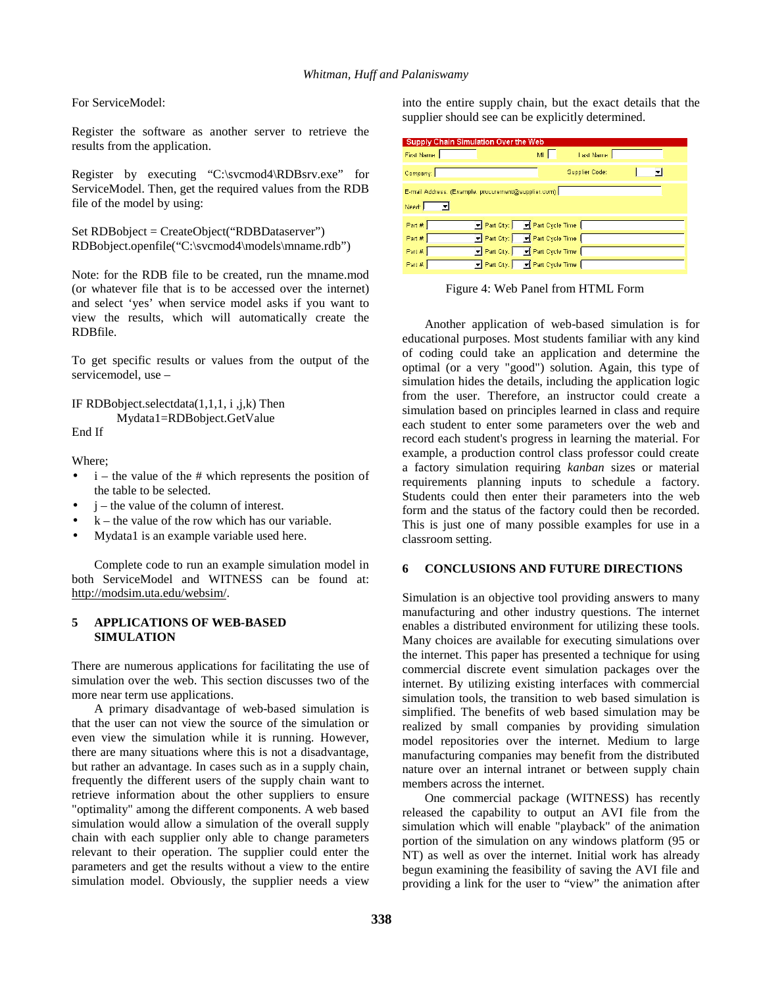For ServiceModel:

Register the software as another server to retrieve the results from the application.

Register by executing "C:\svcmod4\RDBsrv.exe" for ServiceModel. Then, get the required values from the RDB file of the model by using:

Set RDBobject = CreateObject("RDBDataserver") RDBobject.openfile("C:\svcmod4\models\mname.rdb")

Note: for the RDB file to be created, run the mname.mod (or whatever file that is to be accessed over the internet) and select 'yes' when service model asks if you want to view the results, which will automatically create the RDBfile.

To get specific results or values from the output of the servicemodel, use –

IF RDBobject.selectdata $(1,1,1, i, j, k)$  Then Mydata1=RDBobject.GetValue End If

Where;

- $i$  the value of the  $\#$  which represents the position of the table to be selected.
- $j$  the value of the column of interest.
- $k$  the value of the row which has our variable.
- Mydata1 is an example variable used here.

Complete code to run an example simulation model in both ServiceModel and WITNESS can be found at: http://modsim.uta.edu/websim/.

# **5 APPLICATIONS OF WEB-BASED SIMULATION**

There are numerous applications for facilitating the use of simulation over the web. This section discusses two of the more near term use applications.

A primary disadvantage of web-based simulation is that the user can not view the source of the simulation or even view the simulation while it is running. However, there are many situations where this is not a disadvantage, but rather an advantage. In cases such as in a supply chain, frequently the different users of the supply chain want to retrieve information about the other suppliers to ensure "optimality" among the different components. A web based simulation would allow a simulation of the overall supply chain with each supplier only able to change parameters relevant to their operation. The supplier could enter the parameters and get the results without a view to the entire simulation model. Obviously, the supplier needs a view

into the entire supply chain, but the exact details that the supplier should see can be explicitly determined.

| <b>Supply Chain Simulation Over the Web</b>                                                                         |                              |
|---------------------------------------------------------------------------------------------------------------------|------------------------------|
| First Name:                                                                                                         | Last Name:<br>M <sub>1</sub> |
| Company:                                                                                                            | <b>Supplier Code:</b>        |
| E-mail Address: (Example: procurement@supplier.com)                                                                 |                              |
| Nead:                                                                                                               |                              |
| $\blacktriangleright$ Part Oty: $\blacktriangleright$ Part Cycle Time $\lceil$<br>Part #                            |                              |
| $\boxed{\bullet}$ Part Qty: $\boxed{\phantom{1}}$ $\boxed{\bullet}$ Part Cycle Time $\boxed{\phantom{1}}$<br>Part # |                              |
| $\boxed{\blacksquare}$ Part City: $\boxed{\blacksquare}$ Part Cycle Time. $\boxed{\blacksquare}$<br>Port #          |                              |
| $\boxed{\mathbb{F}}$ Part Cty, $\boxed{\mathbb{F}}$ Part Cycle Time $\boxed{\mathbb{F}}$<br>Pait #                  |                              |

Figure 4: Web Panel from HTML Form

Another application of web-based simulation is for educational purposes. Most students familiar with any kind of coding could take an application and determine the optimal (or a very "good") solution. Again, this type of simulation hides the details, including the application logic from the user. Therefore, an instructor could create a simulation based on principles learned in class and require each student to enter some parameters over the web and record each student's progress in learning the material. For example, a production control class professor could create a factory simulation requiring *kanban* sizes or material requirements planning inputs to schedule a factory. Students could then enter their parameters into the web form and the status of the factory could then be recorded. This is just one of many possible examples for use in a classroom setting.

#### **6 CONCLUSIONS AND FUTURE DIRECTIONS**

Simulation is an objective tool providing answers to many manufacturing and other industry questions. The internet enables a distributed environment for utilizing these tools. Many choices are available for executing simulations over the internet. This paper has presented a technique for using commercial discrete event simulation packages over the internet. By utilizing existing interfaces with commercial simulation tools, the transition to web based simulation is simplified. The benefits of web based simulation may be realized by small companies by providing simulation model repositories over the internet. Medium to large manufacturing companies may benefit from the distributed nature over an internal intranet or between supply chain members across the internet.

One commercial package (WITNESS) has recently released the capability to output an AVI file from the simulation which will enable "playback" of the animation portion of the simulation on any windows platform (95 or NT) as well as over the internet. Initial work has already begun examining the feasibility of saving the AVI file and providing a link for the user to "view" the animation after